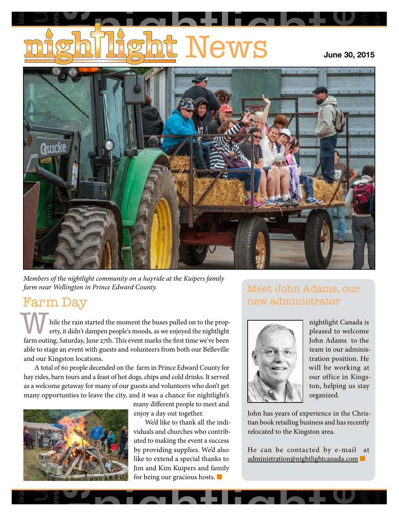# <u>t</u> News Guelphia lear pressi e<br>alcoholism

**June 30, 2015**

Wii

longing

rethinking



*Members of the nightlight community on a hayride at the Kuipers family farm near Wellington in Prince Edward County.*

## Farm Day

able to stage an event with guests and volunteers from both our Belleville<br>
and our Kingston locations.<br>
A total of 60 people decended on the farm in Prince Edward County for<br>
hay rides barn tours and a feast of bot dogs, hile the rain started the moment the buses pulled on to the property in dightlight Canada is<br>
erty it didn't dampen people's moods as we enjoyed the pightlight hile the rain started the moment the buses pulled on to verty, it didn't dampen people's moods, as we enjoyed the n<br>farm outing, Saturday, June 27th. This event marks the first time we<br>able to stage an event with guests an While the rain started the moment the buses pulled on to the prop-<br>erty, it didn't dampen people's moods, as we enjoyed the nightlight<br>farm outing. Saturday, June 27th. This event marks the first time we've been erty, it didn't dampen people's moods, as we enjoyed the nightlight farm outing, Saturday, June 27th. This event marks the first time we've been and our Kingston locations.

s, barn tours and a feast of hot dogs, chips and cold drinks. It serves come getaway for many of our guests and volunteers who don't got tunties to leave the city, and it was a chance for nightligh many different people to many of our guests and volunteers<br>ave the city, and it was a chance for<br>many different people A total of 80 people decended on the Tariff in Prince Edward County for<br>hay rides, barn tours and a feast of hot dogs, chips and cold drinks. It served our Kingston locations.<br>A total of 60 people decended on the farm in Prince Edward County for and C<br>A<br>hay r<br>as a v<br>many as a welcome getaway for many of our guests and volunteers who don't get many opportunties to leave the city, and it was a chance for nightlight's



many different people to meet and

nath tours and a reast of not dogs, cinys and cold drinks. It served<br>me getaway for many of our guests and volunteers who don't get<br>ortunties to leave the city, and it was a chance for nightlight's<br>many different people to enjoy a day out together.<br>
We'd like to thank all<br>
viduals and churches when<br>
uted to making the event like to extend a special thanks to<br>Jim and Kim Kuipers and family<br>for being our gracious hosts. ing the event a success<br>ng supplies. We'd also lift<br>nd a special thanks to by providing supplies. We also<br>like to extend a special thanks to suffer We'd like to thank all the individuals and churches who contributed to making the event a success by providing supplies. We'd also for being our gracious hosts.  $\Box$ 

### Meet John Adams, our new administrator



team in our administration position. He :ki<br>n F<br>z u pleased to welcome<br>John Adams to the g<br>ng<br>sta stranded nightlight Canada is pleased to welcome team in our administration position. He will be working at our office in Kingston, helping us stay organized.

**p** 

longing

loyalty

rethinking

bhn has<br>an book<br>elocated<br>fe\_can<br>dminist John has years of experience in the Chris-<br>tian book retailing business and has recently relocated to the Kingston area. tian book retailing business and has recently<br>relocated to the Kingston area.

be contacted by e-mail a<br>
ration@nightlightcanada.com<br>
■ He can be contacted by e-mail at administration@nightlightcanada.com ■

Wii